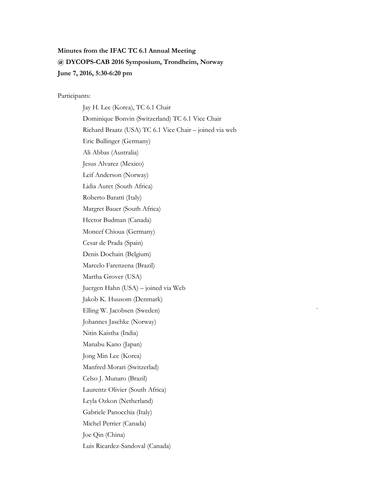# **Minutes from the IFAC TC 6.1 Annual Meeting @ DYCOPS-CAB 2016 Symposium, Trondheim, Norway June 7, 2016, 5:30-6:20 pm**

Participants:

Jay H. Lee (Korea), TC 6.1 Chair Dominique Bonvin (Switzerland) TC 6.1 Vice Chair Richard Braatz (USA) TC 6.1 Vice Chair – joined via web Eric Bullinger (Germany) Ali Abbas (Australia) Jesus Alvarez (Mexico) Leif Anderson (Norway) Lidia Auret (South Africa) Roberto Baratti (Italy) Margret Bauer (South Africa) Hector Budman (Canada) Moncef Chioua (Germany) Cesar de Prada (Spain) Denis Dochain (Belgium) Marcelo Farenzena (Brazil) Martha Grover (USA) Juergen Hahn (USA) – joined via Web Jakob K. Huusom (Denmark) Elling W. Jacobsen (Sweden) ` Johannes Jaschke (Norway) Nitin Kaistha (India) Manabu Kano (Japan) Jong Min Lee (Korea) Manfred Morari (Switzerlad) Celso J. Munaro (Brazil) Laurentz Olivier (South Africa) Leyla Ozkon (Netherland) Gabriele Panocchia (Italy) Michel Perrier (Canada) Joe Qin (China) Luis Ricardez-Sandoval (Canada)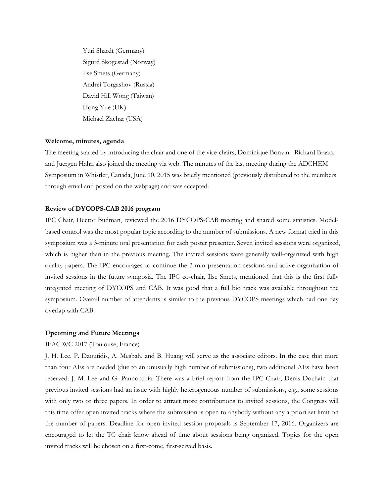Yuri Shardt (Germany) Sigurd Skogestad (Norway) Ilse Smets (Germany) Andrei Torgashov (Russia) David Hill Wong (Taiwan) Hong Yue (UK) Michael Zachar (USA)

# **Welcome, minutes, agenda**

The meeting started by introducing the chair and one of the vice chairs, Dominique Bonvin. Richard Braatz and Juergen Hahn also joined the meeting via web. The minutes of the last meeting during the ADCHEM Symposium in Whistler, Canada, June 10, 2015 was briefly mentioned (previously distributed to the members through email and posted on the webpage) and was accepted.

### **Review of DYCOPS-CAB 2016 program**

IPC Chair, Hector Budman, reviewed the 2016 DYCOPS-CAB meeting and shared some statistics. Modelbased control was the most popular topic according to the number of submissions. A new format tried in this symposium was a 3-minute oral presentation for each poster presenter. Seven invited sessions were organized, which is higher than in the previous meeting. The invited sessions were generally well-organized with high quality papers. The IPC encourages to continue the 3-min presentation sessions and active organization of invited sessions in the future symposia. The IPC co-chair, Ilse Smets, mentioned that this is the first fully integrated meeting of DYCOPS and CAB. It was good that a full bio track was available throughout the symposium. Overall number of attendants is similar to the previous DYCOPS meetings which had one day overlap with CAB.

### **Upcoming and Future Meetings**

## IFAC WC 2017 (Toulouse, France)

J. H. Lee, P. Daoutidis, A. Mesbah, and B. Huang will serve as the associate editors. In the case that more than four AEs are needed (due to an unusually high number of submissions), two additional AEs have been reserved: J. M. Lee and G. Pannocchia. There was a brief report from the IPC Chair, Denis Dochain that previous invited sessions had an issue with highly heterogeneous number of submissions, e.g., some sessions with only two or three papers. In order to attract more contributions to invited sessions, the Congress will this time offer open invited tracks where the submission is open to anybody without any a priori set limit on the number of papers. Deadline for open invited session proposals is September 17, 2016. Organizers are encouraged to let the TC chair know ahead of time about sessions being organized. Topics for the open invited tracks will be chosen on a first-come, first-served basis.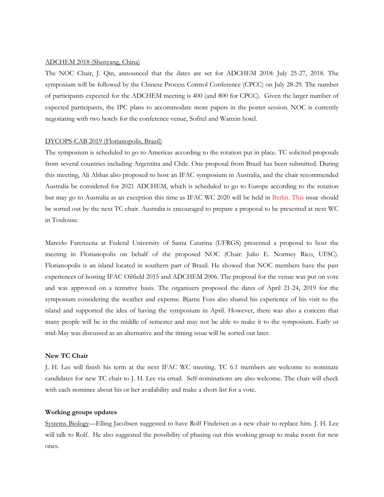## ADCHEM 2018 (Shenyang, China)

The NOC Chair, J. Qin, announced that the dates are set for ADCHEM 2018: July 25-27, 2018. The symposium will be followed by the Chinese Process Control Conference (CPCC) on July 28-29. The number of participants expected for the ADCHEM meeting is 400 (and 800 for CPCC). Given the larger number of expected participants, the IPC plans to accommodate more papers in the poster session. NOC is currently negotiating with two hotels for the conference venue, Sofitel and Wanxin hotel.

## DYCOPS-CAB 2019 (Florianopolis, Brazil)

The symposium is scheduled to go to Americas according to the rotation put in place. TC solicited proposals from several countries including Argentina and Chile. One proposal from Brazil has been submitted. During this meeting, Ali Abbas also proposed to host an IFAC symposium in Australia, and the chair recommended Australia be considered for 2021 ADCHEM, which is scheduled to go to Europe according to the rotation but may go to Australia as an exception this time as IFAC WC 2020 will be held in Berlin. This issue should be sorted out by the next TC chair. Australia is encouraged to prepare a proposal to be presented at next WC in Toulouse.

Marcelo Farenzena at Federal University of Santa Catarina (UFRGS) presented a proposal to host the meeting in Florianopolis on behalf of the proposed NOC (Chair: Julio E. Normey Rico, UFSC). Florianopolis is an island located in southern part of Brazil. He showed that NOC members have the past experiences of hosting IFAC Oilfield 2015 and ADCHEM 2006. The proposal for the venue was put on vote and was approved on a tentative basis. The organizers proposed the dates of April 21-24, 2019 for the symposium considering the weather and expense. Bjarne Foss also shared his experience of his visit to the island and supported the idea of having the symposium in April. However, there was also a concern that many people will be in the middle of semester and may not be able to make it to the symposium. Early or mid-May was discussed as an alternative and the timing issue will be sorted out later.

## **New TC Chair**

J. H. Lee will finish his term at the next IFAC WC meeting. TC 6.1 members are welcome to nominate candidates for new TC chair to J. H. Lee via email. Self-nominations are also welcome. The chair will check with each nominee about his or her availability and make a short-list for a vote.

## **Working groups updates**

Systems Biology—Elling Jacobsen suggested to have Rolf Findeisen as a new chair to replace him. J. H. Lee will talk to Rolf. He also suggested the possibility of phasing out this working group to make room for new ones.